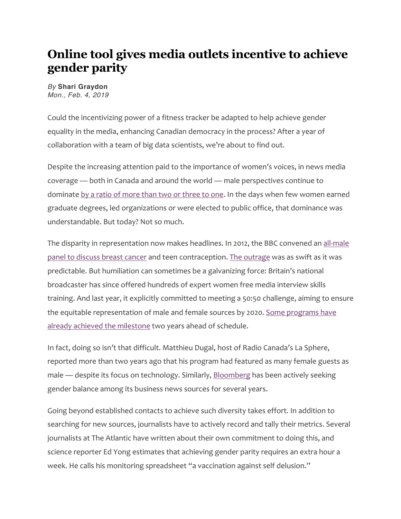## **Online tool gives media outlets incentive to achieve gender parity**

## *By* **Shari Graydon** *Mon., Feb. 4, 2019*

Could the incentivizing power of a fitness tracker be adapted to help achieve gender equality in the media, enhancing Canadian democracy in the process? After a year of collaboration with a team of big data scientists, we're about to find out.

Despite the increasing attention paid to the importance of women's voices, in news media coverage — both in Canada and around the world — male perspectives continue to dominate by a ratio of more than two or three to one. In the days when few women earned graduate degrees, led organizations or were elected to public office, that dominance was understandable. But today? Not so much.

The disparity in representation now makes headlines. In 2012, the BBC convened an all-male panel to discuss breast cancer and teen contraception. The outrage was as swift as it was predictable. But humiliation can sometimes be a galvanizing force: Britain's national broadcaster has since offered hundreds of expert women free media interview skills training. And last year, it explicitly committed to meeting a 50:50 challenge, aiming to ensure the equitable representation of male and female sources by 2020. Some programs have already achieved the milestone two years ahead of schedule.

In fact, doing so isn't that difficult. Matthieu Dugal, host of Radio Canada's La Sphere, reported more than two years ago that his program had featured as many female guests as male — despite its focus on technology. Similarly, Bloomberg has been actively seeking gender balance among its business news sources for several years.

Going beyond established contacts to achieve such diversity takes effort. In addition to searching for new sources, journalists have to actively record and tally their metrics. Several journalists at The Atlantic have written about their own commitment to doing this, and science reporter Ed Yong estimates that achieving gender parity requires an extra hour a week. He calls his monitoring spreadsheet "a vaccination against self delusion."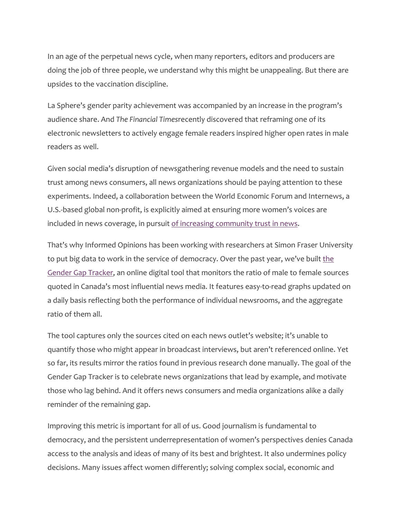In an age of the perpetual news cycle, when many reporters, editors and producers are doing the job of three people, we understand why this might be unappealing. But there are upsides to the vaccination discipline.

La Sphere's gender parity achievement was accompanied by an increase in the program's audience share. And *The Financial Times*recently discovered that reframing one of its electronic newsletters to actively engage female readers inspired higher open rates in male readers as well.

Given social media's disruption of newsgathering revenue models and the need to sustain trust among news consumers, all news organizations should be paying attention to these experiments. Indeed, a collaboration between the World Economic Forum and Internews, a U.S.-based global non-profit, is explicitly aimed at ensuring more women's voices are included in news coverage, in pursuit of increasing community trust in news.

That's why Informed Opinions has been working with researchers at Simon Fraser University to put big data to work in the service of democracy. Over the past year, we've built the Gender Gap Tracker, an online digital tool that monitors the ratio of male to female sources quoted in Canada's most influential news media. It features easy-to-read graphs updated on a daily basis reflecting both the performance of individual newsrooms, and the aggregate ratio of them all.

The tool captures only the sources cited on each news outlet's website; it's unable to quantify those who might appear in broadcast interviews, but aren't referenced online. Yet so far, its results mirror the ratios found in previous research done manually. The goal of the Gender Gap Tracker is to celebrate news organizations that lead by example, and motivate those who lag behind. And it offers news consumers and media organizations alike a daily reminder of the remaining gap.

Improving this metric is important for all of us. Good journalism is fundamental to democracy, and the persistent underrepresentation of women's perspectives denies Canada access to the analysis and ideas of many of its best and brightest. It also undermines policy decisions. Many issues affect women differently; solving complex social, economic and